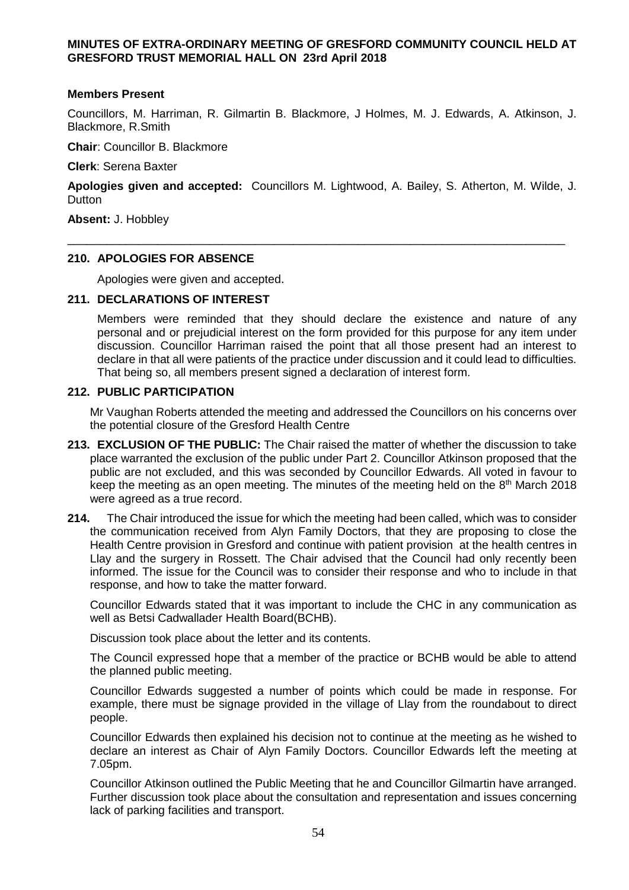# **MINUTES OF EXTRA-ORDINARY MEETING OF GRESFORD COMMUNITY COUNCIL HELD AT GRESFORD TRUST MEMORIAL HALL ON 23rd April 2018**

#### **Members Present**

Councillors, M. Harriman, R. Gilmartin B. Blackmore, J Holmes, M. J. Edwards, A. Atkinson, J. Blackmore, R.Smith

**Chair**: Councillor B. Blackmore

**Clerk**: Serena Baxter

**Apologies given and accepted:** Councillors M. Lightwood, A. Bailey, S. Atherton, M. Wilde, J. **Dutton** 

\_\_\_\_\_\_\_\_\_\_\_\_\_\_\_\_\_\_\_\_\_\_\_\_\_\_\_\_\_\_\_\_\_\_\_\_\_\_\_\_\_\_\_\_\_\_\_\_\_\_\_\_\_\_\_\_\_\_\_\_\_\_\_\_\_\_\_\_\_\_\_\_\_\_\_\_\_

**Absent:** J. Hobbley

## **210. APOLOGIES FOR ABSENCE**

Apologies were given and accepted.

#### **211. DECLARATIONS OF INTEREST**

Members were reminded that they should declare the existence and nature of any personal and or prejudicial interest on the form provided for this purpose for any item under discussion. Councillor Harriman raised the point that all those present had an interest to declare in that all were patients of the practice under discussion and it could lead to difficulties. That being so, all members present signed a declaration of interest form.

## **212. PUBLIC PARTICIPATION**

Mr Vaughan Roberts attended the meeting and addressed the Councillors on his concerns over the potential closure of the Gresford Health Centre

- **213. EXCLUSION OF THE PUBLIC:** The Chair raised the matter of whether the discussion to take place warranted the exclusion of the public under Part 2. Councillor Atkinson proposed that the public are not excluded, and this was seconded by Councillor Edwards. All voted in favour to keep the meeting as an open meeting. The minutes of the meeting held on the 8<sup>th</sup> March 2018 were agreed as a true record.
- **214.** The Chair introduced the issue for which the meeting had been called, which was to consider the communication received from Alyn Family Doctors, that they are proposing to close the Health Centre provision in Gresford and continue with patient provision at the health centres in Llay and the surgery in Rossett. The Chair advised that the Council had only recently been informed. The issue for the Council was to consider their response and who to include in that response, and how to take the matter forward.

Councillor Edwards stated that it was important to include the CHC in any communication as well as Betsi Cadwallader Health Board(BCHB).

Discussion took place about the letter and its contents.

The Council expressed hope that a member of the practice or BCHB would be able to attend the planned public meeting.

Councillor Edwards suggested a number of points which could be made in response. For example, there must be signage provided in the village of Llay from the roundabout to direct people.

Councillor Edwards then explained his decision not to continue at the meeting as he wished to declare an interest as Chair of Alyn Family Doctors. Councillor Edwards left the meeting at 7.05pm.

Councillor Atkinson outlined the Public Meeting that he and Councillor Gilmartin have arranged. Further discussion took place about the consultation and representation and issues concerning lack of parking facilities and transport.